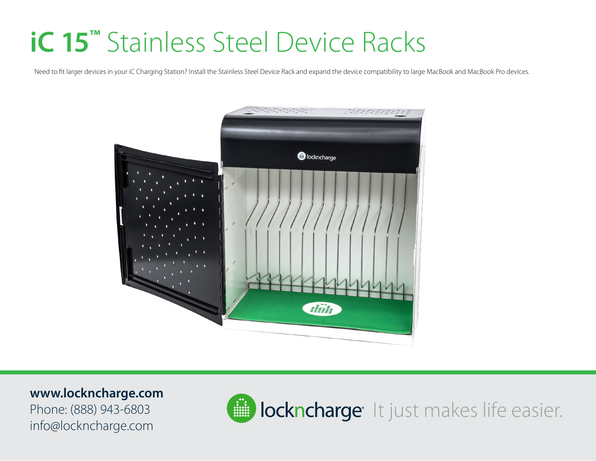## **iC 15™** Stainless Steel Device Racks

Need to fit larger devices in your iC Charging Station? Install the Stainless Steel Device Rack and expand the device compatibility to large MacBook and MacBook Pro devices.



**www.lockncharge.com** Phone: (888) 943-6803 info@lockncharge.com